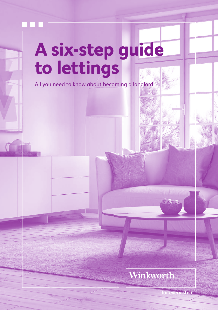

# **A six-step guide to lettings**

All you need to know about becoming a landlord

### Winkworth

sten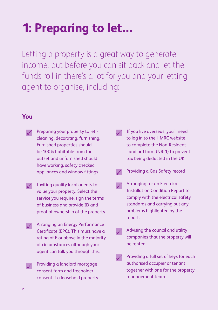## **1: Preparing to let…**

Letting a property is a great way to generate income, but before you can sit back and let the funds roll in there's a lot for you and your letting agent to organise, including:

#### **You**

- Preparing your property to let cleaning, decorating, furnishing. Furnished properties should be 100% habitable from the outset and unfurnished should have working, safety checked appliances and window fittings
- Inviting quality local agents to value your property. Select the service you require, sign the terms of business and provide ID and proof of ownership of the property
- **/ Arranging an Energy Performance** Certificate (EPC). This must have a rating of E or above in the majority of circumstances although your agent can talk you through this.
	- Providing a landlord mortgage consent form and freeholder consent if a leasehold property
- $\sqrt{ }$  If you live overseas, you'll need to log in to the HMRC website to complete the Non-Resident Landlord form (NRL1) to prevent tax being deducted in the UK
	- Providing a Gas Safety record
- $\sqrt{\phantom{a}}$  Arranging for an Electrical Installation Condition Report to comply with the electrical safety standards and carrying out any problems highlighted by the report.
- $\sqrt{\phantom{a}}$  Advising the council and utility companies that the property will be rented
- $\sqrt{\phantom{a}}$  Providing a full set of keys for each authorised occupier or tenant together with one for the property management team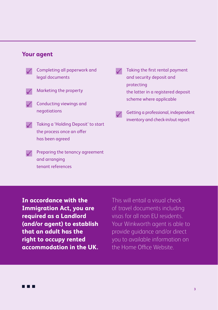#### **Your agent**

• Completing all paperwork and legal documents • Marketing the property • Conducting viewings and negotiations  $\sqrt{\phantom{a}}$  Taking a 'Holding Deposit' to start the process once an offer

has been agreed

Preparing the tenancy agreement and arranging tenant references

- Taking the first rental payment and security deposit and protecting the latter in a registered deposit scheme where applicable
- $\sqrt{\phantom{a}}$  Getting a professional, independent inventory and check-in/out report

**In accordance with the Immigration Act, you are required as a Landlord (and/or agent) to establish that an adult has the right to occupy rented accommodation in the UK.** 

This will entail a visual check of travel documents including visas for all non EU residents. Your Winkworth agent is able to provide guidance and/or direct you to available information on the Home Office Website.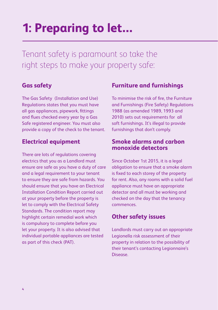### **1: Preparing to let…**

Tenant safety is paramount so take the right steps to make your property safe:

#### **Gas safety**

The Gas Safety (Installation and Use) Regulations states that you must have all gas appliances, pipework, fittings and flues checked every year by a Gas Safe registered engineer. You must also provide a copy of the check to the tenant.

#### **Electrical equipment**

There are lots of regulations covering electrics that you as a Landlord must ensure are safe as you have a duty of care and a legal requirement to your tenant to ensure they are safe from hazards. You should ensure that you have an Electrical Installation Condition Report carried out at your property before the property is let to comply with the Electrical Safety Standards. The condition report may highlight certain remedial work which is compulsory to complete before you let your property. It is also advised that individual portable appliances are tested as part of this check (PAT).

#### **Furniture and furnishings**

To minimise the risk of fire, the Furniture and Furnishings (Fire Safety) Regulations 1988 (as amended 1989, 1993 and 2010) sets out requirements for all soft furnishings. It's illegal to provide furnishings that don't comply.

#### **Smoke alarms and carbon monoxide detectors**

Since October 1st 2015, it is a legal obligation to ensure that a smoke alarm is fixed to each storey of the property for rent. Also, any rooms with a solid fuel appliance must have an appropriate detector and all must be working and checked on the day that the tenancy commences.

#### **Other safety issues**

Landlords must carry out an appropriate Legionella risk assessment of their property in relation to the possibility of their tenant's contacting Legionnaire's Disease.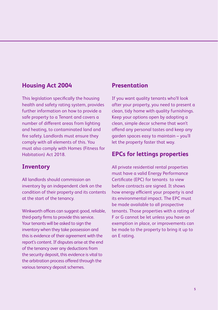#### **Housing Act 2004**

This legislation specifically the housing health and safety rating system, provides further information on how to provide a safe property to a Tenant and covers a number of different areas from lighting and heating, to contaminated land and fire safety. Landlords must ensure they comply with all elements of this. You must also comply with Homes (Fitness for Habitation) Act 2018.

#### **Inventory**

All landlords should commission an inventory by an independent clerk on the condition of their property and its contents at the start of the tenancy.

Winkworth offices can suggest good, reliable, third-party firms to provide this service. Your tenants will be asked to sign the inventory when they take possession and this is evidence of their agreement with the report's content. If disputes arise at the end of the tenancy over any deductions from the security deposit, this evidence is vital to the arbitration process offered through the various tenancy deposit schemes.

#### **Presentation**

If you want quality tenants who'll look after your property, you need to present a clean, tidy home with quality furnishings. Keep your options open by adopting a clean, simple decor scheme that won't offend any personal tastes and keep any garden spaces easy to maintain – you'll let the property faster that way.

#### **EPCs for lettings properties**

All private residential rental properties must have a valid Energy Performance Certificate (EPC) for tenants to view before contracts are signed. It shows how energy efficient your property is and its environmental impact. The EPC must be made available to all prospective tenants. Those properties with a rating of F or G cannot be let unless you have an exemption in place, or improvements can be made to the property to bring it up to an E rating.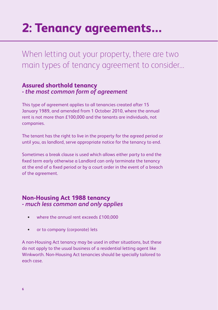## **2: Tenancy agreements…**

When letting out your property, there are two main types of tenancy agreement to consider…

#### **Assured shorthold tenancy** *- the most common form of agreement*

This type of agreement applies to all tenancies created after 15 January 1989, and amended from 1 October 2010, where the annual rent is not more than £100,000 and the tenants are individuals, not companies.

The tenant has the right to live in the property for the agreed period or until you, as landlord, serve appropriate notice for the tenancy to end.

Sometimes a break clause is used which allows either party to end the fixed term early otherwise a Landlord can only terminate the tenancy at the end of a fixed period or by a court order in the event of a breach of the agreement.

#### **Non-Housing Act 1988 tenancy** *- much less common and only applies*

- where the annual rent exceeds £100,000
- or to company (corporate) lets

A non-Housing Act tenancy may be used in other situations, but these do not apply to the usual business of a residential letting agent like Winkworth. Non-Housing Act tenancies should be specially tailored to each case.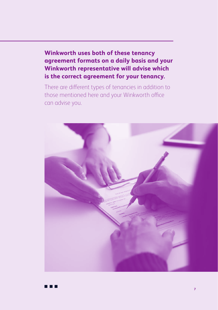**Winkworth uses both of these tenancy agreement formats on a daily basis and your Winkworth representative will advise which is the correct agreement for your tenancy.**

There are different types of tenancies in addition to those mentioned here and your Winkworth office can advise you.

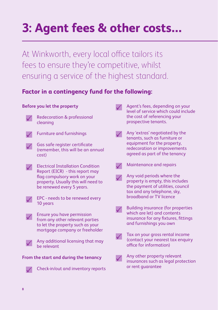## **3: Agent fees & other costs…**

At Winkworth, every local office tailors its fees to ensure they're competitive, whilst ensuring a service of the highest standard.

#### **Factor in a contingency fund for the following:**

#### **Before you let the property**

- 
- Redecoration & professional cleaning



- Furniture and furnishings
- $\sqrt{\phantom{a}}$  Gas safe register certificate (remember, this will be an annual cost)
- Electrical Installation Condition Report (EICR) - this report may flag compulsory work on your property. Usually this will need to be renewed every 5 years.
	- EPC needs to be renewed every 10 years
- Ensure you have permission from any other relevant parties to let the property such as your mortgage company or freeholder

• Any additional licensing that may be relevant

#### **From the start and during the tenancy**



• Check-in/out and inventory reports

- Agent's fees, depending on your level of service which could include the cost of referencing your prospective tenants.
- Any 'extras' negotiated by the tenants, such as furniture or equipment for the property, redecoration or improvements agreed as part of the tenancy
- $\sqrt{\phantom{a}}$  Maintenance and repairs
	- Any void periods where the
- property is empty, this includes the payment of utilities, council tax and any telephone, sky, broadband or TV licence
- $\sqrt{\phantom{a}}$  Building insurance (for properties which are let) and contents insurance for any fixtures, fittings and furnishings you own
- Tax on your gross rental income (contact your nearest tax enquiry office for information)
- Any other property relevant insurances such as legal protection or rent guarantee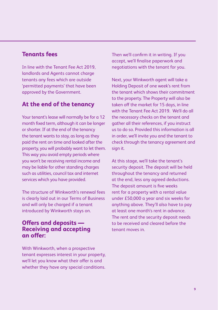#### **Tenants fees**

In line with the Tenant Fee Act 2019, landlords and Agents cannot charge tenants any fees which are outside 'permitted payments' that have been approved by the Government.

#### **At the end of the tenancy**

Your tenant's lease will normally be for a 12 month fixed term, although it can be longer or shorter. If at the end of the tenancy the tenant wants to stay, as long as they paid the rent on time and looked after the property, you will probably want to let them. This way you avoid empty periods where you won't be receiving rental income and may be liable for other standing charges such as utilities, council tax and internet services which you have provided.

The structure of Winkworth's renewal fees is clearly laid out in our Terms of Business and will only be charged if a tenant introduced by Winkworth stays on.

#### **Offers and deposits — Receiving and accepting an offer:**

With Winkworth, when a prospective tenant expresses interest in your property, we'll let you know what their offer is and whether they have any special conditions. Then we'll confirm it in writing. If you accept, we'll finalise paperwork and negotiations with the tenant for you.

Next, your Winkworth agent will take a Holding Deposit of one week's rent from the tenant which shows their commitment to the property. The Property will also be taken off the market for 15 days, in line with the Tenant Fee Act 2019. We'll do all the necessary checks on the tenant and gather all their references, if you instruct us to do so. Provided this information is all in order, we'll invite you and the tenant to check through the tenancy agreement and sign it.

At this stage, we'll take the tenant's security deposit. The deposit will be held throughout the tenancy and returned at the end, less any agreed deductions. The deposit amount is five weeks rent for a property with a rental value under £50,000 a year and six weeks for anything above. They'll also have to pay at least one month's rent in advance. The rent and the security deposit needs to be received and cleared before the tenant moves in.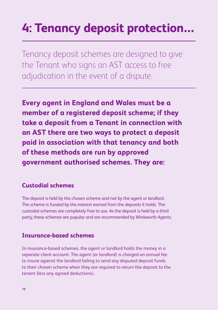## **4: Tenancy deposit protection…**

Tenancy deposit schemes are designed to give the Tenant who signs an AST access to free adjudication in the event of a dispute.

**Every agent in England and Wales must be a member of a registered deposit scheme; if they take a deposit from a Tenant in connection with an AST there are two ways to protect a deposit paid in association with that tenancy and both of these methods are run by approved government authorised schemes. They are:**

#### **Custodial schemes**

The deposit is held by the chosen scheme and not by the agent or landlord. The scheme is funded by the interest earned from the deposits it holds. The custodial schemes are completely free to use. As the deposit is held by a third party, these schemes are popular and are recommended by Winkworth Agents.

#### **Insurance-based schemes**

In insurance-based schemes, the agent or landlord holds the money in a separate client account. The agent (or landlord) is charged an annual fee to insure against the landlord failing to send any disputed deposit funds to their chosen scheme when they are required to return the deposit to the tenant (less any agreed deductions).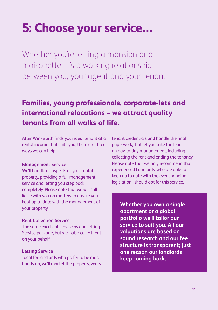### **5: Choose your service…**

Whether you're letting a mansion or a maisonette, it's a working relationship between you, your agent and your tenant.

### **Families, young professionals, corporate-lets and international relocations – we attract quality tenants from all walks of life.**

After Winkworth finds your ideal tenant at a rental income that suits you, there are three ways we can help:

#### **Management Service**

We'll handle all aspects of your rental property, providing a full management service and letting you step back completely. Please note that we will still liaise with you on matters to ensure you kept up to date with the management of your property.

#### **Rent Collection Service**

The same excellent service as our Letting Service package, but we'll also collect rent on your behalf.

#### **Letting Service**

Ideal for landlords who prefer to be more hands-on, we'll market the property, verify

tenant credentials and handle the final paperwork, but let you take the lead on day-to-day management, including collecting the rent and ending the tenancy. Please note that we only recommend that experienced Landlords, who are able to keep up to date with the ever changing legislation, should opt for this service.

**Whether you own a single apartment or a global portfolio we'll tailor our service to suit you. All our valuations are based on sound research and our fee structure is transparent; just one reason our landlords keep coming back.**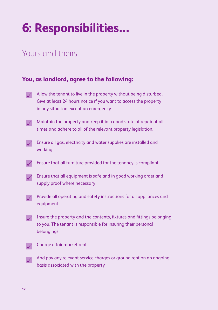## **6: Responsibilities…**

### Yours and theirs.

#### **You, as landlord, agree to the following:**

- - Allow the tenant to live in the property without being disturbed. Give at least 24 hours notice if you want to access the property in any situation except an emergency
- 
- $\sqrt{\phantom{a}}$  Maintain the property and keep it in a good state of repair at all times and adhere to all of the relevant property legislation.
- $\sqrt{\phantom{a}}$  Ensure all gas, electricity and water supplies are installed and working
	- Ensure that all furniture provided for the tenancy is compliant.
- $\sqrt{\phantom{a}}$  Ensure that all equipment is safe and in good working order and supply proof where necessary
- $\gamma$  Provide all operating and safety instructions for all appliances and equipment
- $\sqrt{\phantom{a}}$  Insure the property and the contents, fixtures and fittings belonging to you. The tenant is responsible for insuring their personal belongings
- 
- $\sqrt{\phantom{a}}$  Charge a fair market rent
- $\gamma$  And pay any relevant service charges or ground rent on an ongoing basis associated with the property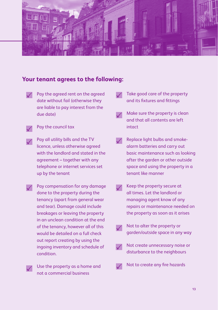

#### **Your tenant agrees to the following:**

- Pay the agreed rent on the agreed date without fail (otherwise they are liable to pay interest from the due date)
	- Pay the council tax
- Pay all utility bills and the TV licence, unless otherwise agreed with the landlord and stated in the agreement – together with any telephone or internet services set up by the tenant
- Pay compensation for any damage done to the property during the tenancy (apart from general wear and tear). Damage could include breakages or leaving the property in an unclean condition at the end of the tenancy, however all of this would be detailed on a full check out report creating by using the ingoing inventory and schedule of condition.
	- Use the property as a home and not a commercial business
- Take good care of the property and its fixtures and fittings
- Make sure the property is clean and that all contents are left intact
- Replace light bulbs and smokealarm batteries and carry out basic maintenance such as looking after the garden or other outside space and using the property in a tenant like manner
- Keep the property secure at all times. Let the landlord or managing agent know of any repairs or maintenance needed on the property as soon as it arises
	- Not to alter the property or garden/outside space in any way
- Not create unnecessary noise or disturbance to the neighbours
	- Not to create any fire hazards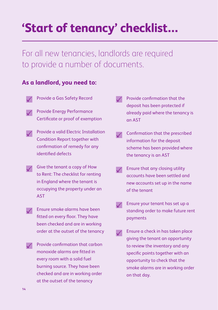### **'Start of tenancy' checklist…**

For all new tenancies, landlords are required to provide a number of documents.

#### **As a landlord, you need to:**

- Provide a Gas Safety Record
- Provide Energy Performance Certificate or proof of exemption
- Provide a valid Electric Installation Condition Report together with confirmation of remedy for any identified defects
- $\sqrt{\phantom{a}}$  Give the tenant a copy of How to Rent: The checklist for renting in England where the tenant is occupying the property under an **AST** 
	- Ensure smoke alarms have been fitted on every floor. They have been checked and are in working order at the outset of the tenancy
- $\sqrt{\phantom{a}}$  Provide confirmation that carbon monoxide alarms are fitted in every room with a solid fuel burning source. They have been checked and are in working order at the outset of the tenancy
- Provide confirmation that the deposit has been protected if already paid where the tenancy is an AST
- $\sqrt{\phantom{a}}$  Confirmation that the prescribed information for the deposit scheme has been provided where the tenancy is an AST
- Ensure that any closing utility accounts have been settled and new accounts set up in the name of the tenant
- $\sqrt{\phantom{a}}$  Ensure your tenant has set up a standing order to make future rent payments
- $\sqrt{\phantom{a}}$  Ensure a check in has taken place giving the tenant an opportunity to review the inventory and any specific points together with an opportunity to check that the smoke alarms are in working order on that day.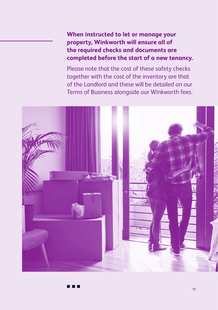**When instructed to let or manage your property, Winkworth will ensure all of the required checks and documents are completed before the start of a new tenancy.**

Please note that the cost of these safety checks together with the cost of the inventory are that of the Landlord and these will be detailed on our Terms of Business alongside our Winkworth fees.